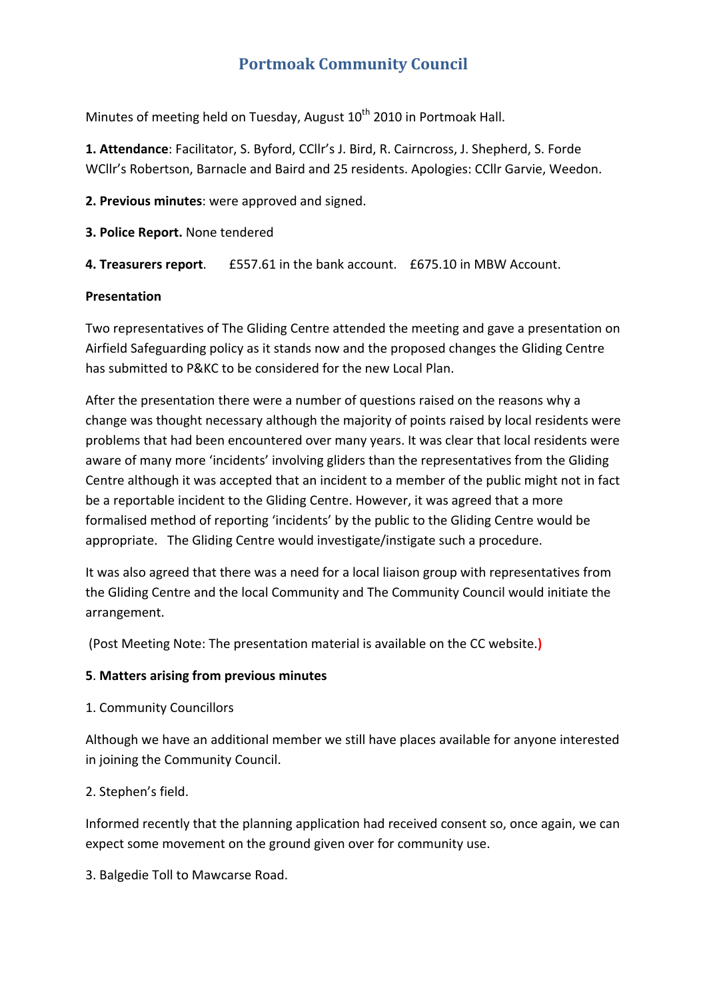# **Portmoak Community Council**

Minutes of meeting held on Tuesday, August 10<sup>th</sup> 2010 in Portmoak Hall.

**1. Attendance**: Facilitator, S. Byford, CCllr's J. Bird, R. Cairncross, J. Shepherd, S. Forde WCllr's Robertson, Barnacle and Baird and 25 residents. Apologies: CCllr Garvie, Weedon.

**2. Previous minutes**: were approved and signed.

**3. Police Report.** None tendered

**4. Treasurers report**. £557.61 in the bank account. £675.10 in MBW Account.

# **Presentation**

Two representatives of The Gliding Centre attended the meeting and gave a presentation on Airfield Safeguarding policy as it stands now and the proposed changes the Gliding Centre has submitted to P&KC to be considered for the new Local Plan.

After the presentation there were a number of questions raised on the reasons why a change was thought necessary although the majority of points raised by local residents were problems that had been encountered over many years. It was clear that local residents were aware of many more 'incidents' involving gliders than the representatives from the Gliding Centre although it was accepted that an incident to a member of the public might not in fact be a reportable incident to the Gliding Centre. However, it was agreed that a more formalised method of reporting 'incidents' by the public to the Gliding Centre would be appropriate. The Gliding Centre would investigate/instigate such a procedure.

It was also agreed that there was a need for a local liaison group with representatives from the Gliding Centre and the local Community and The Community Council would initiate the arrangement.

(Post Meeting Note: The presentation material is available on the CC website.**)**

# **5**. **Matters arising from previous minutes**

1. Community Councillors

Although we have an additional member we still have places available for anyone interested in joining the Community Council.

# 2. Stephen's field.

Informed recently that the planning application had received consent so, once again, we can expect some movement on the ground given over for community use.

3. Balgedie Toll to Mawcarse Road.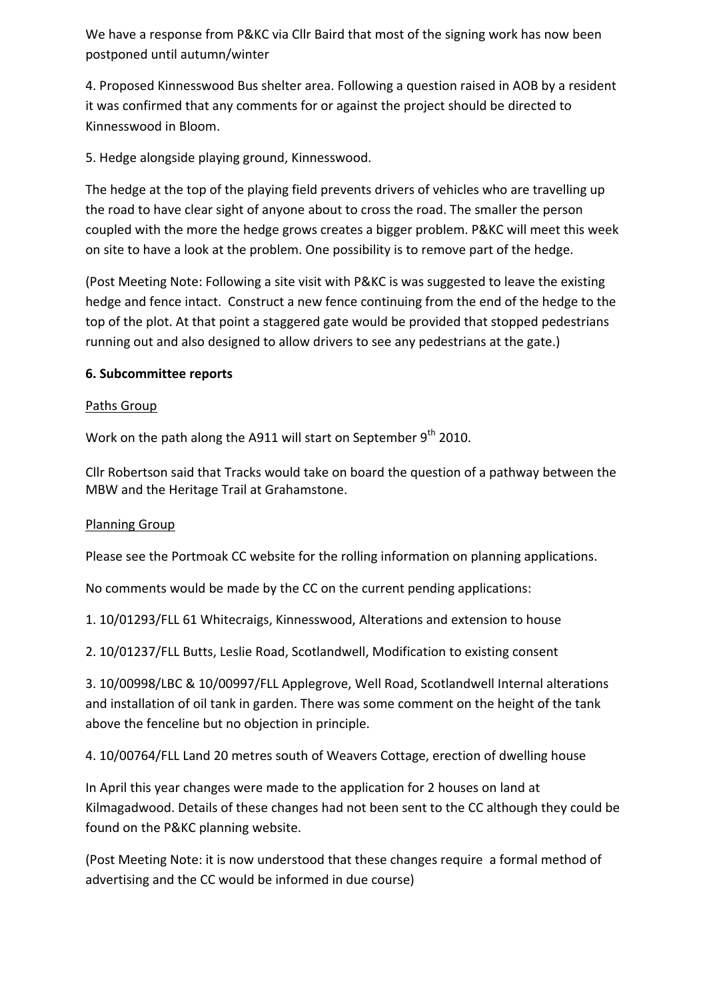We have a response from P&KC via Cllr Baird that most of the signing work has now been postponed until autumn/winter

4. Proposed Kinnesswood Bus shelter area. Following a question raised in AOB by a resident it was confirmed that any comments for or against the project should be directed to Kinnesswood in Bloom.

5. Hedge alongside playing ground, Kinnesswood.

The hedge at the top of the playing field prevents drivers of vehicles who are travelling up the road to have clear sight of anyone about to cross the road. The smaller the person coupled with the more the hedge grows creates a bigger problem. P&KC will meet this week on site to have a look at the problem. One possibility is to remove part of the hedge.

(Post Meeting Note: Following a site visit with P&KC is was suggested to leave the existing hedge and fence intact. Construct a new fence continuing from the end of the hedge to the top of the plot. At that point a staggered gate would be provided that stopped pedestrians running out and also designed to allow drivers to see any pedestrians at the gate.)

# **6. Subcommittee reports**

#### Paths Group

Work on the path along the A911 will start on September  $9<sup>th</sup>$  2010.

Cllr Robertson said that Tracks would take on board the question of a pathway between the MBW and the Heritage Trail at Grahamstone.

#### Planning Group

Please see the Portmoak CC website for the rolling information on planning applications.

No comments would be made by the CC on the current pending applications:

1. 10/01293/FLL 61 Whitecraigs, Kinnesswood, Alterations and extension to house

2. 10/01237/FLL Butts, Leslie Road, Scotlandwell, Modification to existing consent

3. 10/00998/LBC & 10/00997/FLL Applegrove, Well Road, Scotlandwell Internal alterations and installation of oil tank in garden. There was some comment on the height of the tank above the fenceline but no objection in principle.

4. 10/00764/FLL Land 20 metres south of Weavers Cottage, erection of dwelling house

In April this year changes were made to the application for 2 houses on land at Kilmagadwood. Details of these changes had not been sent to the CC although they could be found on the P&KC planning website.

(Post Meeting Note: it is now understood that these changes require a formal method of advertising and the CC would be informed in due course)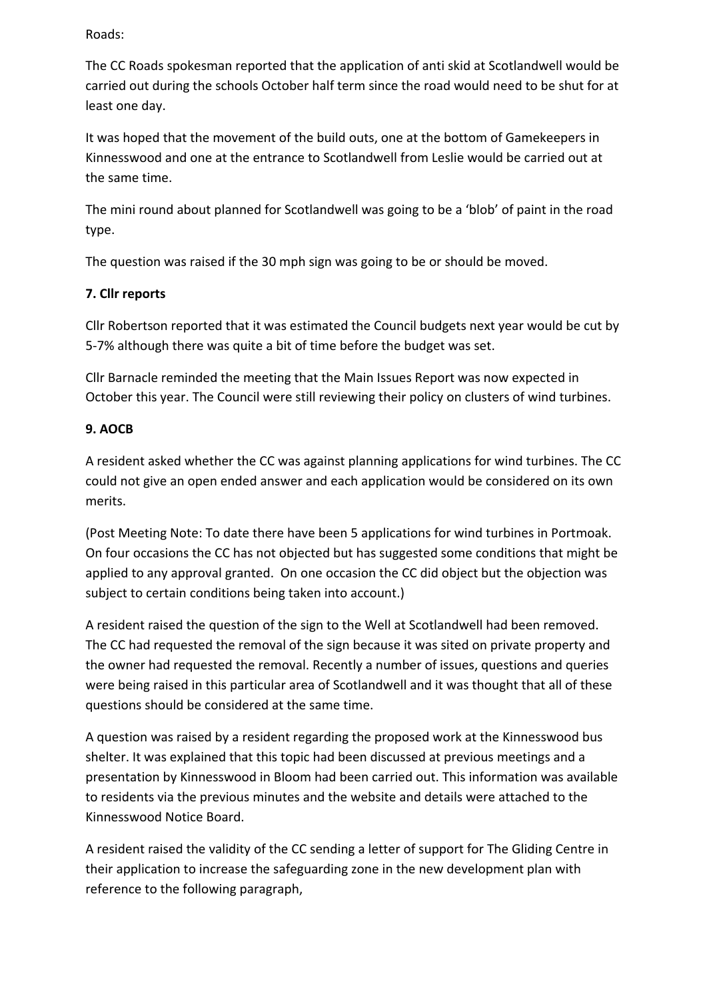# Roads:

The CC Roads spokesman reported that the application of anti skid at Scotlandwell would be carried out during the schools October half term since the road would need to be shut for at least one day.

It was hoped that the movement of the build outs, one at the bottom of Gamekeepers in Kinnesswood and one at the entrance to Scotlandwell from Leslie would be carried out at the same time.

The mini round about planned for Scotlandwell was going to be a 'blob' of paint in the road type.

The question was raised if the 30 mph sign was going to be or should be moved.

# **7. Cllr reports**

Cllr Robertson reported that it was estimated the Council budgets next year would be cut by 5‐7% although there was quite a bit of time before the budget was set.

Cllr Barnacle reminded the meeting that the Main Issues Report was now expected in October this year. The Council were still reviewing their policy on clusters of wind turbines.

# **9. AOCB**

A resident asked whether the CC was against planning applications for wind turbines. The CC could not give an open ended answer and each application would be considered on its own merits.

(Post Meeting Note: To date there have been 5 applications for wind turbines in Portmoak. On four occasions the CC has not objected but has suggested some conditions that might be applied to any approval granted. On one occasion the CC did object but the objection was subject to certain conditions being taken into account.)

A resident raised the question of the sign to the Well at Scotlandwell had been removed. The CC had requested the removal of the sign because it was sited on private property and the owner had requested the removal. Recently a number of issues, questions and queries were being raised in this particular area of Scotlandwell and it was thought that all of these questions should be considered at the same time.

A question was raised by a resident regarding the proposed work at the Kinnesswood bus shelter. It was explained that this topic had been discussed at previous meetings and a presentation by Kinnesswood in Bloom had been carried out. This information was available to residents via the previous minutes and the website and details were attached to the Kinnesswood Notice Board.

A resident raised the validity of the CC sending a letter of support for The Gliding Centre in their application to increase the safeguarding zone in the new development plan with reference to the following paragraph,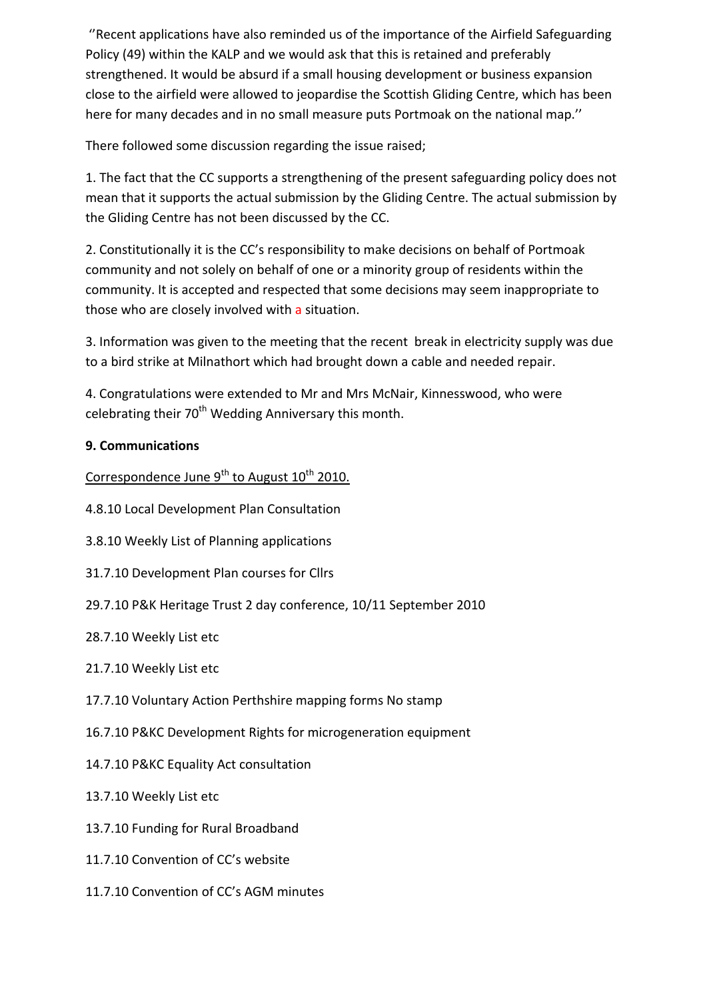''Recent applications have also reminded us of the importance of the Airfield Safeguarding Policy (49) within the KALP and we would ask that this is retained and preferably strengthened. It would be absurd if a small housing development or business expansion close to the airfield were allowed to jeopardise the Scottish Gliding Centre, which has been here for many decades and in no small measure puts Portmoak on the national map.''

There followed some discussion regarding the issue raised;

1. The fact that the CC supports a strengthening of the present safeguarding policy does not mean that it supports the actual submission by the Gliding Centre. The actual submission by the Gliding Centre has not been discussed by the CC.

2. Constitutionally it is the CC's responsibility to make decisions on behalf of Portmoak community and not solely on behalf of one or a minority group of residents within the community. It is accepted and respected that some decisions may seem inappropriate to those who are closely involved with a situation.

3. Information was given to the meeting that the recent break in electricity supply was due to a bird strike at Milnathort which had brought down a cable and needed repair.

4. Congratulations were extended to Mr and Mrs McNair, Kinnesswood, who were celebrating their 70<sup>th</sup> Wedding Anniversary this month.

# **9. Communications**

Correspondence June 9<sup>th</sup> to August 10<sup>th</sup> 2010.

- 4.8.10 Local Development Plan Consultation
- 3.8.10 Weekly List of Planning applications
- 31.7.10 Development Plan courses for Cllrs
- 29.7.10 P&K Heritage Trust 2 day conference, 10/11 September 2010
- 28.7.10 Weekly List etc
- 21.7.10 Weekly List etc
- 17.7.10 Voluntary Action Perthshire mapping forms No stamp
- 16.7.10 P&KC Development Rights for microgeneration equipment
- 14.7.10 P&KC Equality Act consultation
- 13.7.10 Weekly List etc
- 13.7.10 Funding for Rural Broadband
- 11.7.10 Convention of CC's website
- 11.7.10 Convention of CC's AGM minutes